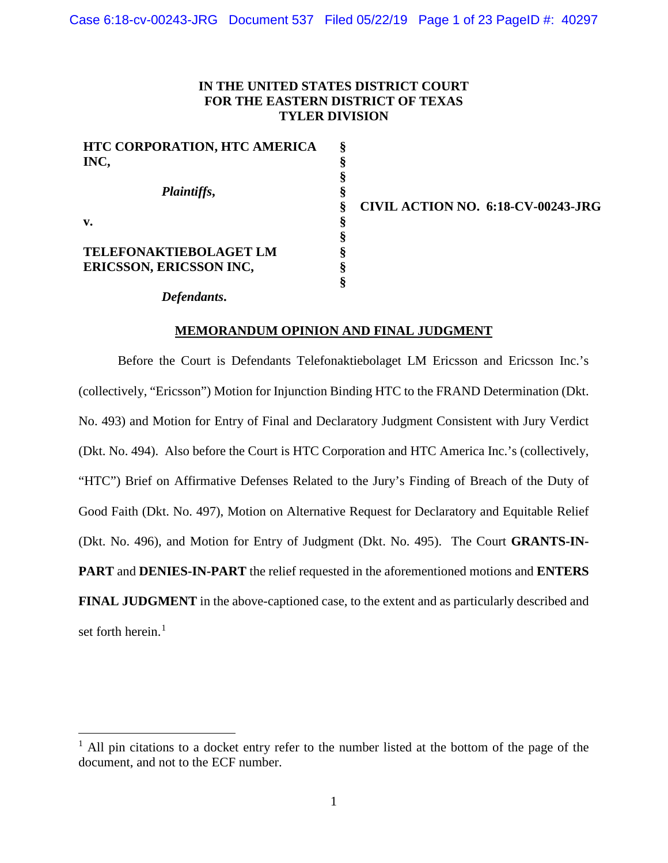# **IN THE UNITED STATES DISTRICT COURT FOR THE EASTERN DISTRICT OF TEXAS TYLER DIVISION**

**§ § § § § § § § § §**

| <b>HTC CORPORATION, HTC AMERICA</b><br>INC,              |
|----------------------------------------------------------|
| <i>Plaintiffs,</i>                                       |
| v.                                                       |
| TELEFONAKTIEBOLAGET LM<br><b>ERICSSON, ERICSSON INC,</b> |

**CIVIL ACTION NO. 6:18-CV-00243-JRG**

*Defendants***.**

# **MEMORANDUM OPINION AND FINAL JUDGMENT**

Before the Court is Defendants Telefonaktiebolaget LM Ericsson and Ericsson Inc.'s (collectively, "Ericsson") Motion for Injunction Binding HTC to the FRAND Determination (Dkt. No. 493) and Motion for Entry of Final and Declaratory Judgment Consistent with Jury Verdict (Dkt. No. 494). Also before the Court is HTC Corporation and HTC America Inc.'s (collectively, "HTC") Brief on Affirmative Defenses Related to the Jury's Finding of Breach of the Duty of Good Faith (Dkt. No. 497), Motion on Alternative Request for Declaratory and Equitable Relief (Dkt. No. 496), and Motion for Entry of Judgment (Dkt. No. 495). The Court **GRANTS-IN-PART** and **DENIES-IN-PART** the relief requested in the aforementioned motions and **ENTERS FINAL JUDGMENT** in the above-captioned case, to the extent and as particularly described and set forth herein.<sup>1</sup>

 $<sup>1</sup>$  All pin citations to a docket entry refer to the number listed at the bottom of the page of the</sup> document, and not to the ECF number.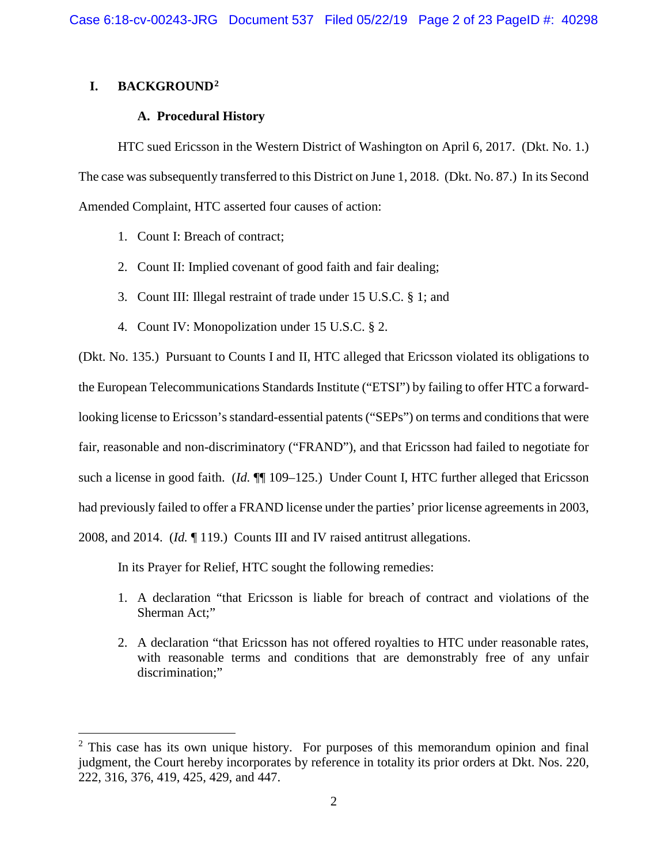# **I. BACKGROUND2**

# **A. Procedural History**

HTC sued Ericsson in the Western District of Washington on April 6, 2017. (Dkt. No. 1.) The case was subsequently transferred to this District on June 1, 2018. (Dkt. No. 87.) In its Second Amended Complaint, HTC asserted four causes of action:

- 1. Count I: Breach of contract;
- 2. Count II: Implied covenant of good faith and fair dealing;
- 3. Count III: Illegal restraint of trade under 15 U.S.C. § 1; and
- 4. Count IV: Monopolization under 15 U.S.C. § 2.

(Dkt. No. 135.) Pursuant to Counts I and II, HTC alleged that Ericsson violated its obligations to the European Telecommunications Standards Institute ("ETSI") by failing to offer HTC a forwardlooking license to Ericsson's standard-essential patents ("SEPs") on terms and conditions that were fair, reasonable and non-discriminatory ("FRAND"), and that Ericsson had failed to negotiate for such a license in good faith. (*Id.*  $\P$  109–125.) Under Count I, HTC further alleged that Ericsson had previously failed to offer a FRAND license under the parties' prior license agreements in 2003, 2008, and 2014. (*Id.* ¶ 119.) Counts III and IV raised antitrust allegations.

In its Prayer for Relief, HTC sought the following remedies:

- 1. A declaration "that Ericsson is liable for breach of contract and violations of the Sherman Act;"
- 2. A declaration "that Ericsson has not offered royalties to HTC under reasonable rates, with reasonable terms and conditions that are demonstrably free of any unfair discrimination:"

<sup>&</sup>lt;sup>2</sup> This case has its own unique history. For purposes of this memorandum opinion and final judgment, the Court hereby incorporates by reference in totality its prior orders at Dkt. Nos. 220, 222, 316, 376, 419, 425, 429, and 447.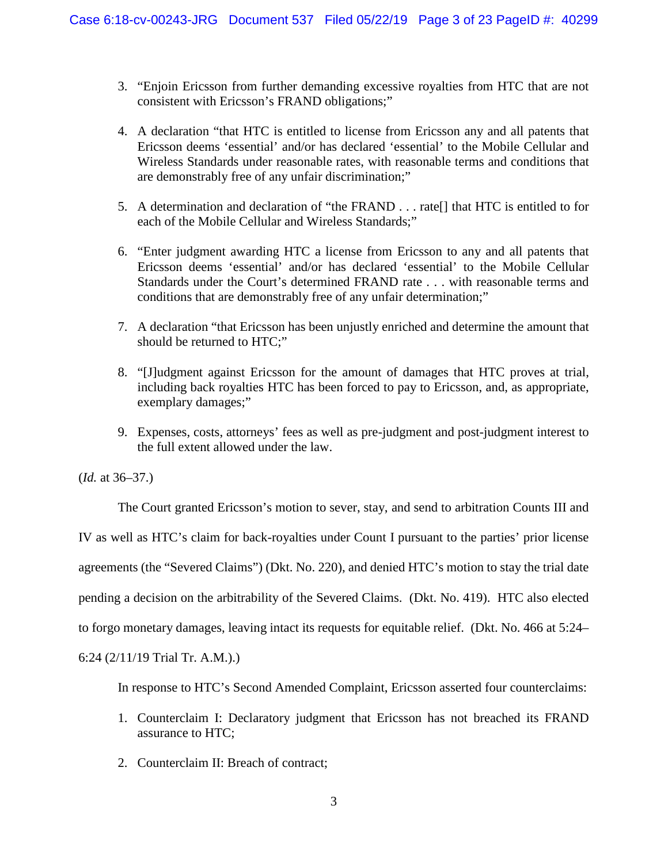- 3. "Enjoin Ericsson from further demanding excessive royalties from HTC that are not consistent with Ericsson's FRAND obligations;"
- 4. A declaration "that HTC is entitled to license from Ericsson any and all patents that Ericsson deems 'essential' and/or has declared 'essential' to the Mobile Cellular and Wireless Standards under reasonable rates, with reasonable terms and conditions that are demonstrably free of any unfair discrimination;"
- 5. A determination and declaration of "the FRAND . . . rate[] that HTC is entitled to for each of the Mobile Cellular and Wireless Standards;"
- 6. "Enter judgment awarding HTC a license from Ericsson to any and all patents that Ericsson deems 'essential' and/or has declared 'essential' to the Mobile Cellular Standards under the Court's determined FRAND rate . . . with reasonable terms and conditions that are demonstrably free of any unfair determination;"
- 7. A declaration "that Ericsson has been unjustly enriched and determine the amount that should be returned to HTC;"
- 8. "[J]udgment against Ericsson for the amount of damages that HTC proves at trial, including back royalties HTC has been forced to pay to Ericsson, and, as appropriate, exemplary damages;"
- 9. Expenses, costs, attorneys' fees as well as pre-judgment and post-judgment interest to the full extent allowed under the law.

(*Id.* at 36–37.)

The Court granted Ericsson's motion to sever, stay, and send to arbitration Counts III and IV as well as HTC's claim for back-royalties under Count I pursuant to the parties' prior license agreements (the "Severed Claims") (Dkt. No. 220), and denied HTC's motion to stay the trial date pending a decision on the arbitrability of the Severed Claims. (Dkt. No. 419). HTC also elected to forgo monetary damages, leaving intact its requests for equitable relief. (Dkt. No. 466 at 5:24– 6:24 (2/11/19 Trial Tr. A.M.).)

In response to HTC's Second Amended Complaint, Ericsson asserted four counterclaims:

- 1. Counterclaim I: Declaratory judgment that Ericsson has not breached its FRAND assurance to HTC;
- 2. Counterclaim II: Breach of contract;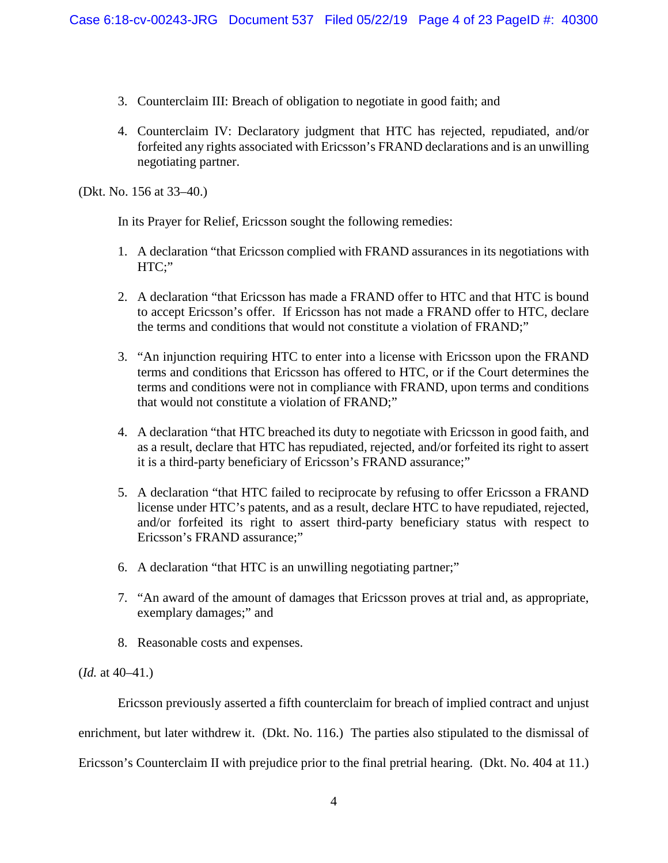- 3. Counterclaim III: Breach of obligation to negotiate in good faith; and
- 4. Counterclaim IV: Declaratory judgment that HTC has rejected, repudiated, and/or forfeited any rights associated with Ericsson's FRAND declarations and is an unwilling negotiating partner.

(Dkt. No. 156 at 33–40.)

In its Prayer for Relief, Ericsson sought the following remedies:

- 1. A declaration "that Ericsson complied with FRAND assurances in its negotiations with HTC;"
- 2. A declaration "that Ericsson has made a FRAND offer to HTC and that HTC is bound to accept Ericsson's offer. If Ericsson has not made a FRAND offer to HTC, declare the terms and conditions that would not constitute a violation of FRAND;"
- 3. "An injunction requiring HTC to enter into a license with Ericsson upon the FRAND terms and conditions that Ericsson has offered to HTC, or if the Court determines the terms and conditions were not in compliance with FRAND, upon terms and conditions that would not constitute a violation of FRAND;"
- 4. A declaration "that HTC breached its duty to negotiate with Ericsson in good faith, and as a result, declare that HTC has repudiated, rejected, and/or forfeited its right to assert it is a third-party beneficiary of Ericsson's FRAND assurance;"
- 5. A declaration "that HTC failed to reciprocate by refusing to offer Ericsson a FRAND license under HTC's patents, and as a result, declare HTC to have repudiated, rejected, and/or forfeited its right to assert third-party beneficiary status with respect to Ericsson's FRAND assurance;"
- 6. A declaration "that HTC is an unwilling negotiating partner;"
- 7. "An award of the amount of damages that Ericsson proves at trial and, as appropriate, exemplary damages;" and
- 8. Reasonable costs and expenses.

(*Id.* at 40–41.)

Ericsson previously asserted a fifth counterclaim for breach of implied contract and unjust enrichment, but later withdrew it. (Dkt. No. 116.) The parties also stipulated to the dismissal of Ericsson's Counterclaim II with prejudice prior to the final pretrial hearing. (Dkt. No. 404 at 11.)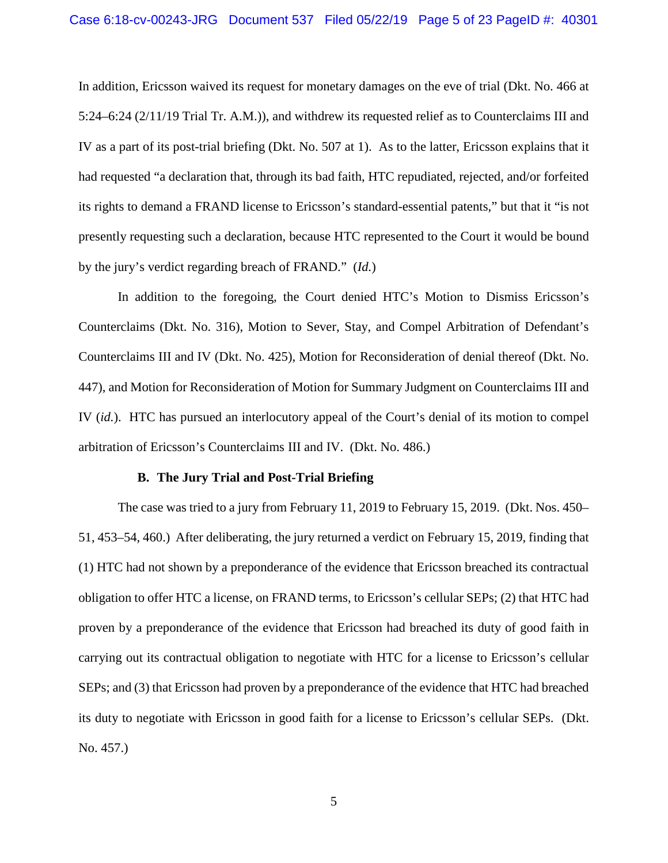In addition, Ericsson waived its request for monetary damages on the eve of trial (Dkt. No. 466 at 5:24–6:24 (2/11/19 Trial Tr. A.M.)), and withdrew its requested relief as to Counterclaims III and IV as a part of its post-trial briefing (Dkt. No. 507 at 1). As to the latter, Ericsson explains that it had requested "a declaration that, through its bad faith, HTC repudiated, rejected, and/or forfeited its rights to demand a FRAND license to Ericsson's standard-essential patents," but that it "is not presently requesting such a declaration, because HTC represented to the Court it would be bound by the jury's verdict regarding breach of FRAND." (*Id.*)

In addition to the foregoing, the Court denied HTC's Motion to Dismiss Ericsson's Counterclaims (Dkt. No. 316), Motion to Sever, Stay, and Compel Arbitration of Defendant's Counterclaims III and IV (Dkt. No. 425), Motion for Reconsideration of denial thereof (Dkt. No. 447), and Motion for Reconsideration of Motion for Summary Judgment on Counterclaims III and IV (*id.*). HTC has pursued an interlocutory appeal of the Court's denial of its motion to compel arbitration of Ericsson's Counterclaims III and IV. (Dkt. No. 486.)

#### **B. The Jury Trial and Post-Trial Briefing**

The case was tried to a jury from February 11, 2019 to February 15, 2019. (Dkt. Nos. 450– 51, 453–54, 460.) After deliberating, the jury returned a verdict on February 15, 2019, finding that (1) HTC had not shown by a preponderance of the evidence that Ericsson breached its contractual obligation to offer HTC a license, on FRAND terms, to Ericsson's cellular SEPs; (2) that HTC had proven by a preponderance of the evidence that Ericsson had breached its duty of good faith in carrying out its contractual obligation to negotiate with HTC for a license to Ericsson's cellular SEPs; and (3) that Ericsson had proven by a preponderance of the evidence that HTC had breached its duty to negotiate with Ericsson in good faith for a license to Ericsson's cellular SEPs. (Dkt. No. 457.)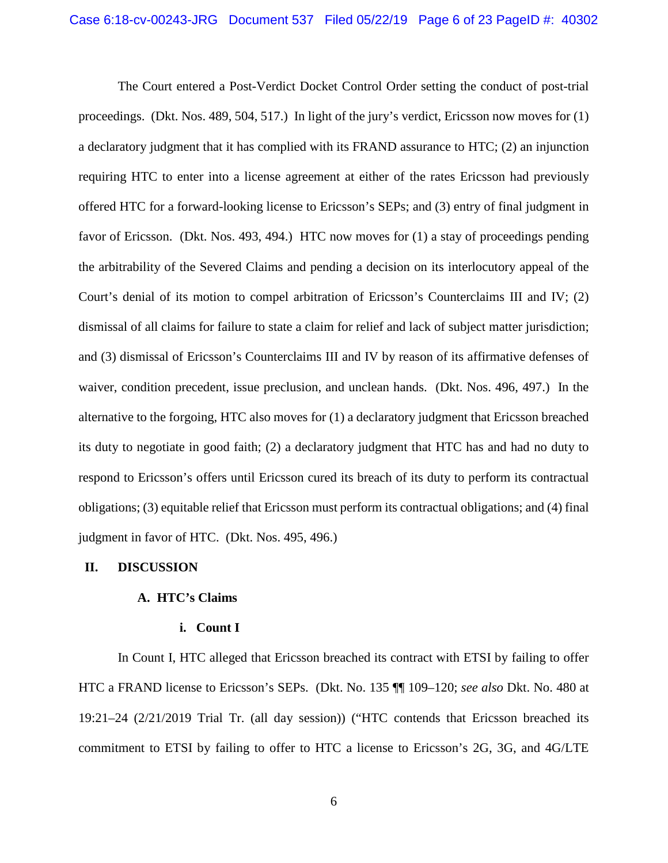The Court entered a Post-Verdict Docket Control Order setting the conduct of post-trial proceedings. (Dkt. Nos. 489, 504, 517.) In light of the jury's verdict, Ericsson now moves for (1) a declaratory judgment that it has complied with its FRAND assurance to HTC; (2) an injunction requiring HTC to enter into a license agreement at either of the rates Ericsson had previously offered HTC for a forward-looking license to Ericsson's SEPs; and (3) entry of final judgment in favor of Ericsson. (Dkt. Nos. 493, 494.) HTC now moves for (1) a stay of proceedings pending the arbitrability of the Severed Claims and pending a decision on its interlocutory appeal of the Court's denial of its motion to compel arbitration of Ericsson's Counterclaims III and IV; (2) dismissal of all claims for failure to state a claim for relief and lack of subject matter jurisdiction; and (3) dismissal of Ericsson's Counterclaims III and IV by reason of its affirmative defenses of waiver, condition precedent, issue preclusion, and unclean hands. (Dkt. Nos. 496, 497.) In the alternative to the forgoing, HTC also moves for (1) a declaratory judgment that Ericsson breached its duty to negotiate in good faith; (2) a declaratory judgment that HTC has and had no duty to respond to Ericsson's offers until Ericsson cured its breach of its duty to perform its contractual obligations; (3) equitable relief that Ericsson must perform its contractual obligations; and (4) final judgment in favor of HTC. (Dkt. Nos. 495, 496.)

## **II. DISCUSSION**

## **A. HTC's Claims**

### **i. Count I**

In Count I, HTC alleged that Ericsson breached its contract with ETSI by failing to offer HTC a FRAND license to Ericsson's SEPs. (Dkt. No. 135 ¶¶ 109–120; *see also* Dkt. No. 480 at 19:21–24 (2/21/2019 Trial Tr. (all day session)) ("HTC contends that Ericsson breached its commitment to ETSI by failing to offer to HTC a license to Ericsson's 2G, 3G, and 4G/LTE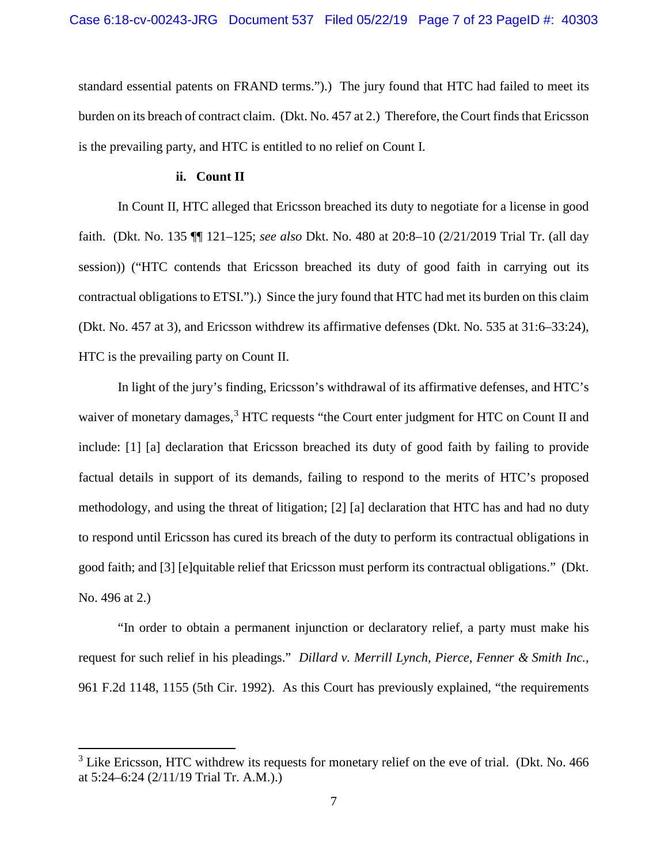standard essential patents on FRAND terms.").) The jury found that HTC had failed to meet its burden on its breach of contract claim. (Dkt. No. 457 at 2.) Therefore, the Court finds that Ericsson is the prevailing party, and HTC is entitled to no relief on Count I.

## **ii. Count II**

In Count II, HTC alleged that Ericsson breached its duty to negotiate for a license in good faith. (Dkt. No. 135 ¶¶ 121–125; *see also* Dkt. No. 480 at 20:8–10 (2/21/2019 Trial Tr. (all day session)) ("HTC contends that Ericsson breached its duty of good faith in carrying out its contractual obligations to ETSI.").) Since the jury found that HTC had met its burden on this claim (Dkt. No. 457 at 3), and Ericsson withdrew its affirmative defenses (Dkt. No. 535 at 31:6–33:24), HTC is the prevailing party on Count II.

In light of the jury's finding, Ericsson's withdrawal of its affirmative defenses, and HTC's waiver of monetary damages,<sup>3</sup> HTC requests "the Court enter judgment for HTC on Count II and include: [1] [a] declaration that Ericsson breached its duty of good faith by failing to provide factual details in support of its demands, failing to respond to the merits of HTC's proposed methodology, and using the threat of litigation; [2] [a] declaration that HTC has and had no duty to respond until Ericsson has cured its breach of the duty to perform its contractual obligations in good faith; and [3] [e]quitable relief that Ericsson must perform its contractual obligations." (Dkt. No. 496 at 2.)

"In order to obtain a permanent injunction or declaratory relief, a party must make his request for such relief in his pleadings." *Dillard v. Merrill Lynch, Pierce, Fenner & Smith Inc.*, 961 F.2d 1148, 1155 (5th Cir. 1992). As this Court has previously explained, "the requirements

<sup>&</sup>lt;sup>3</sup> Like Ericsson, HTC withdrew its requests for monetary relief on the eve of trial. (Dkt. No. 466) at 5:24–6:24 (2/11/19 Trial Tr. A.M.).)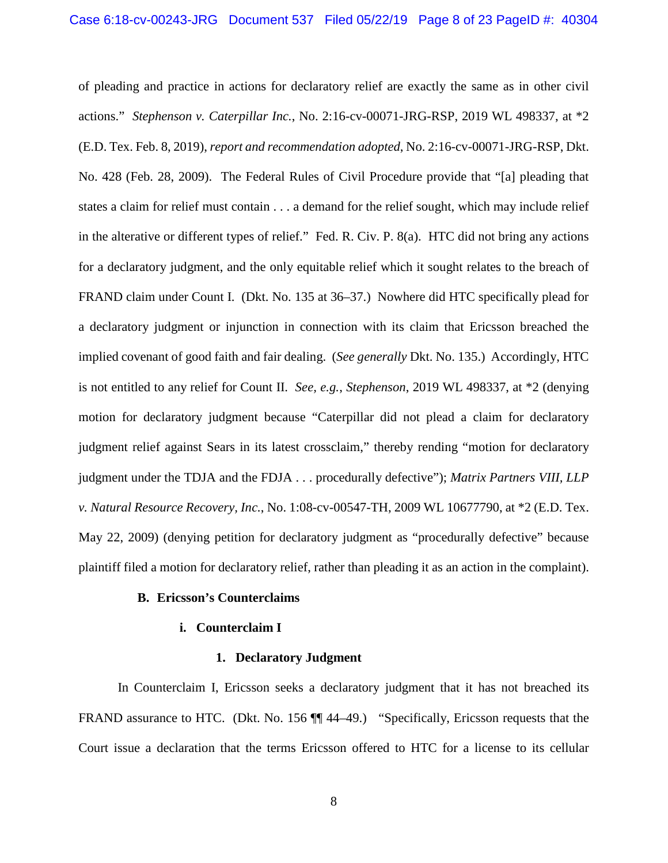of pleading and practice in actions for declaratory relief are exactly the same as in other civil actions." *Stephenson v. Caterpillar Inc.*, No. 2:16-cv-00071-JRG-RSP, 2019 WL 498337, at \*2 (E.D. Tex. Feb. 8, 2019), *report and recommendation adopted*, No. 2:16-cv-00071-JRG-RSP, Dkt. No. 428 (Feb. 28, 2009). The Federal Rules of Civil Procedure provide that "[a] pleading that states a claim for relief must contain . . . a demand for the relief sought, which may include relief in the alterative or different types of relief." Fed. R. Civ. P. 8(a). HTC did not bring any actions for a declaratory judgment, and the only equitable relief which it sought relates to the breach of FRAND claim under Count I. (Dkt. No. 135 at 36–37.) Nowhere did HTC specifically plead for a declaratory judgment or injunction in connection with its claim that Ericsson breached the implied covenant of good faith and fair dealing. (*See generally* Dkt. No. 135.) Accordingly, HTC is not entitled to any relief for Count II. *See, e.g.*, *Stephenson*, 2019 WL 498337, at \*2 (denying motion for declaratory judgment because "Caterpillar did not plead a claim for declaratory judgment relief against Sears in its latest crossclaim," thereby rending "motion for declaratory judgment under the TDJA and the FDJA . . . procedurally defective"); *Matrix Partners VIII, LLP v. Natural Resource Recovery, Inc.*, No. 1:08-cv-00547-TH, 2009 WL 10677790, at \*2 (E.D. Tex. May 22, 2009) (denying petition for declaratory judgment as "procedurally defective" because plaintiff filed a motion for declaratory relief, rather than pleading it as an action in the complaint).

## **B. Ericsson's Counterclaims**

## **i. Counterclaim I**

### **1. Declaratory Judgment**

In Counterclaim I, Ericsson seeks a declaratory judgment that it has not breached its FRAND assurance to HTC. (Dkt. No. 156  $\P$  44–49.) "Specifically, Ericsson requests that the Court issue a declaration that the terms Ericsson offered to HTC for a license to its cellular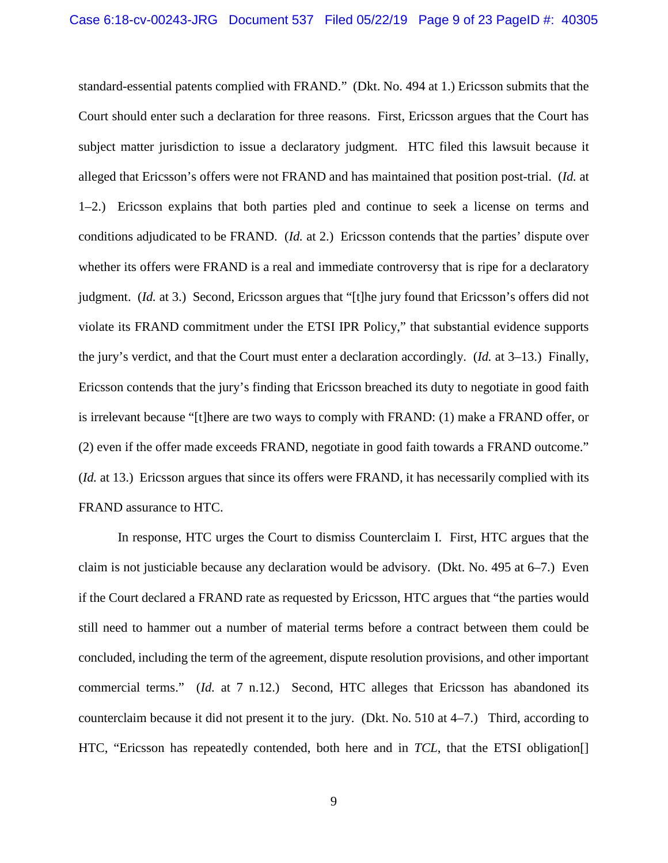standard-essential patents complied with FRAND." (Dkt. No. 494 at 1.) Ericsson submits that the Court should enter such a declaration for three reasons. First, Ericsson argues that the Court has subject matter jurisdiction to issue a declaratory judgment. HTC filed this lawsuit because it alleged that Ericsson's offers were not FRAND and has maintained that position post-trial. (*Id.* at 1–2.) Ericsson explains that both parties pled and continue to seek a license on terms and conditions adjudicated to be FRAND. (*Id.* at 2.) Ericsson contends that the parties' dispute over whether its offers were FRAND is a real and immediate controversy that is ripe for a declaratory judgment. (*Id.* at 3.) Second, Ericsson argues that "[t]he jury found that Ericsson's offers did not violate its FRAND commitment under the ETSI IPR Policy," that substantial evidence supports the jury's verdict, and that the Court must enter a declaration accordingly. (*Id.* at 3–13.) Finally, Ericsson contends that the jury's finding that Ericsson breached its duty to negotiate in good faith is irrelevant because "[t]here are two ways to comply with FRAND: (1) make a FRAND offer, or (2) even if the offer made exceeds FRAND, negotiate in good faith towards a FRAND outcome." (*Id.* at 13.) Ericsson argues that since its offers were FRAND, it has necessarily complied with its FRAND assurance to HTC.

In response, HTC urges the Court to dismiss Counterclaim I. First, HTC argues that the claim is not justiciable because any declaration would be advisory. (Dkt. No. 495 at 6–7.) Even if the Court declared a FRAND rate as requested by Ericsson, HTC argues that "the parties would still need to hammer out a number of material terms before a contract between them could be concluded, including the term of the agreement, dispute resolution provisions, and other important commercial terms." (*Id.* at 7 n.12.) Second, HTC alleges that Ericsson has abandoned its counterclaim because it did not present it to the jury. (Dkt. No. 510 at 4–7.) Third, according to HTC, "Ericsson has repeatedly contended, both here and in *TCL*, that the ETSI obligation[]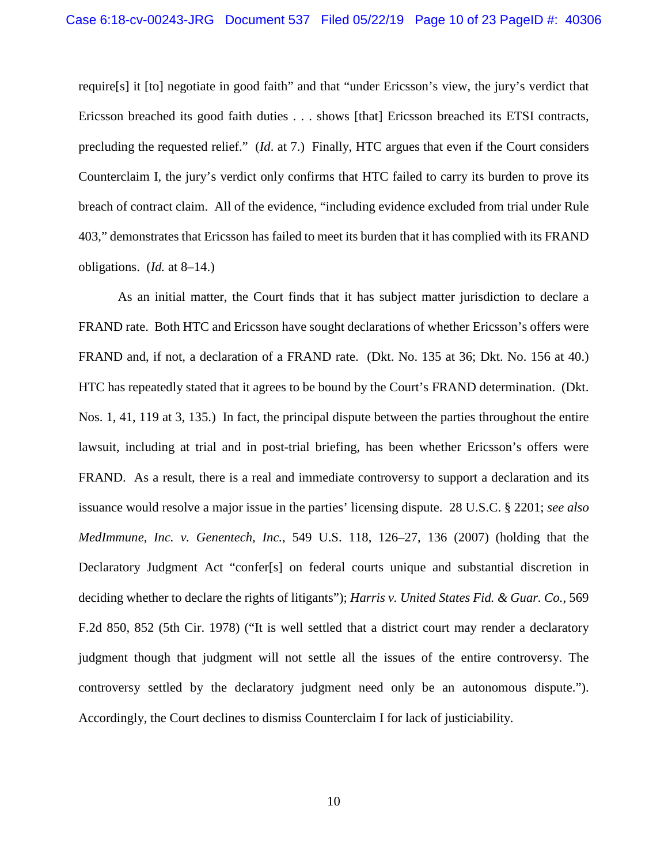require[s] it [to] negotiate in good faith" and that "under Ericsson's view, the jury's verdict that Ericsson breached its good faith duties . . . shows [that] Ericsson breached its ETSI contracts, precluding the requested relief." (*Id*. at 7.) Finally, HTC argues that even if the Court considers Counterclaim I, the jury's verdict only confirms that HTC failed to carry its burden to prove its breach of contract claim. All of the evidence, "including evidence excluded from trial under Rule 403," demonstrates that Ericsson has failed to meet its burden that it has complied with its FRAND obligations. (*Id.* at 8–14.)

As an initial matter, the Court finds that it has subject matter jurisdiction to declare a FRAND rate. Both HTC and Ericsson have sought declarations of whether Ericsson's offers were FRAND and, if not, a declaration of a FRAND rate. (Dkt. No. 135 at 36; Dkt. No. 156 at 40.) HTC has repeatedly stated that it agrees to be bound by the Court's FRAND determination. (Dkt. Nos. 1, 41, 119 at 3, 135.) In fact, the principal dispute between the parties throughout the entire lawsuit, including at trial and in post-trial briefing, has been whether Ericsson's offers were FRAND. As a result, there is a real and immediate controversy to support a declaration and its issuance would resolve a major issue in the parties' licensing dispute. 28 U.S.C. § 2201; *see also MedImmune, Inc. v. Genentech, Inc.*, 549 U.S. 118, 126–27, 136 (2007) (holding that the Declaratory Judgment Act "confer[s] on federal courts unique and substantial discretion in deciding whether to declare the rights of litigants"); *Harris v. United States Fid. & Guar. Co.*, 569 F.2d 850, 852 (5th Cir. 1978) ("It is well settled that a district court may render a declaratory judgment though that judgment will not settle all the issues of the entire controversy. The controversy settled by the declaratory judgment need only be an autonomous dispute."). Accordingly, the Court declines to dismiss Counterclaim I for lack of justiciability.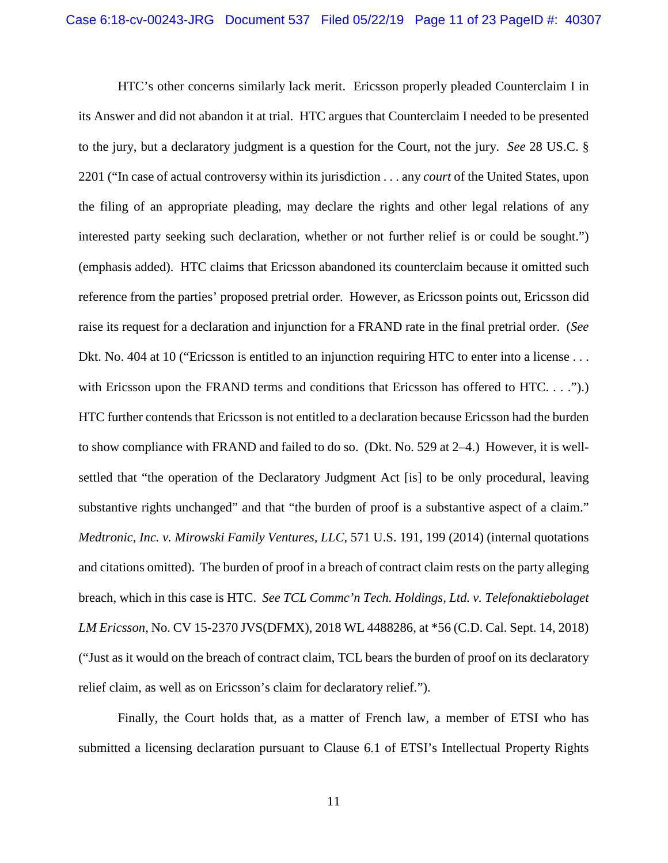HTC's other concerns similarly lack merit. Ericsson properly pleaded Counterclaim I in its Answer and did not abandon it at trial. HTC argues that Counterclaim I needed to be presented to the jury, but a declaratory judgment is a question for the Court, not the jury. *See* 28 US.C. § 2201 ("In case of actual controversy within its jurisdiction . . . any *court* of the United States, upon the filing of an appropriate pleading, may declare the rights and other legal relations of any interested party seeking such declaration, whether or not further relief is or could be sought.") (emphasis added). HTC claims that Ericsson abandoned its counterclaim because it omitted such reference from the parties' proposed pretrial order. However, as Ericsson points out, Ericsson did raise its request for a declaration and injunction for a FRAND rate in the final pretrial order. (*See* Dkt. No. 404 at 10 ("Ericsson is entitled to an injunction requiring HTC to enter into a license... with Ericsson upon the FRAND terms and conditions that Ericsson has offered to HTC. . . .").) HTC further contends that Ericsson is not entitled to a declaration because Ericsson had the burden to show compliance with FRAND and failed to do so. (Dkt. No. 529 at 2–4.) However, it is wellsettled that "the operation of the Declaratory Judgment Act [is] to be only procedural, leaving substantive rights unchanged" and that "the burden of proof is a substantive aspect of a claim." *Medtronic, Inc. v. Mirowski Family Ventures, LLC*, 571 U.S. 191, 199 (2014) (internal quotations and citations omitted). The burden of proof in a breach of contract claim rests on the party alleging breach, which in this case is HTC. *See TCL Commc'n Tech. Holdings, Ltd. v. Telefonaktiebolaget LM Ericsson*, No. CV 15-2370 JVS(DFMX), 2018 WL 4488286, at \*56 (C.D. Cal. Sept. 14, 2018) ("Just as it would on the breach of contract claim, TCL bears the burden of proof on its declaratory relief claim, as well as on Ericsson's claim for declaratory relief.").

Finally, the Court holds that, as a matter of French law, a member of ETSI who has submitted a licensing declaration pursuant to Clause 6.1 of ETSI's Intellectual Property Rights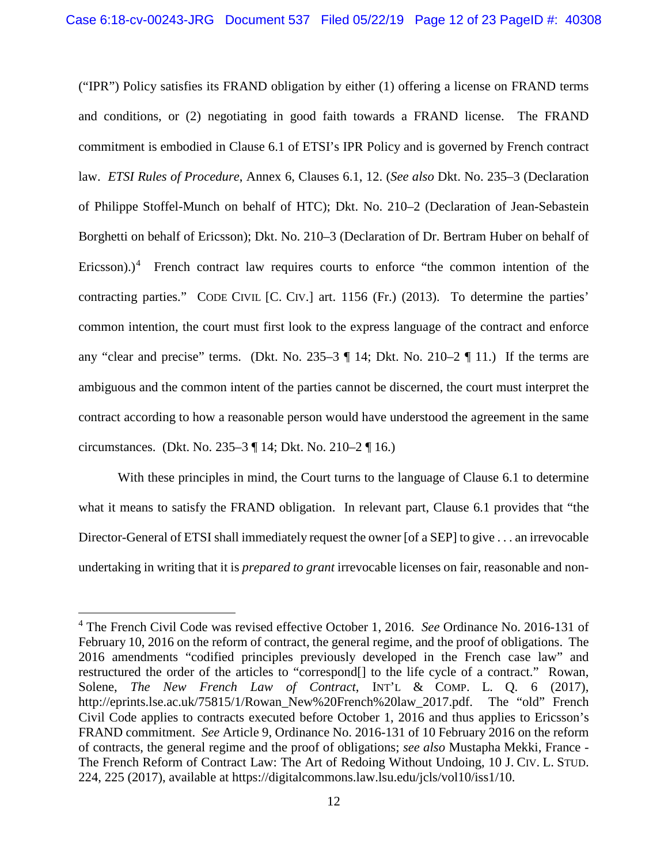("IPR") Policy satisfies its FRAND obligation by either (1) offering a license on FRAND terms and conditions, or (2) negotiating in good faith towards a FRAND license. The FRAND commitment is embodied in Clause 6.1 of ETSI's IPR Policy and is governed by French contract law. *ETSI Rules of Procedure*, Annex 6, Clauses 6.1, 12. (*See also* Dkt. No. 235–3 (Declaration of Philippe Stoffel-Munch on behalf of HTC); Dkt. No. 210–2 (Declaration of Jean-Sebastein Borghetti on behalf of Ericsson); Dkt. No. 210–3 (Declaration of Dr. Bertram Huber on behalf of Ericsson).)<sup>4</sup> French contract law requires courts to enforce "the common intention of the contracting parties." CODE CIVIL [C. CIV.] art. 1156 (Fr.) (2013). To determine the parties' common intention, the court must first look to the express language of the contract and enforce any "clear and precise" terms. (Dkt. No. 235–3  $\P$  14; Dkt. No. 210–2  $\P$  11.) If the terms are ambiguous and the common intent of the parties cannot be discerned, the court must interpret the contract according to how a reasonable person would have understood the agreement in the same circumstances. (Dkt. No. 235–3 ¶ 14; Dkt. No. 210–2 ¶ 16.)

With these principles in mind, the Court turns to the language of Clause 6.1 to determine what it means to satisfy the FRAND obligation. In relevant part, Clause 6.1 provides that "the Director-General of ETSI shall immediately request the owner [of a SEP] to give . . . an irrevocable undertaking in writing that it is *prepared to grant* irrevocable licenses on fair, reasonable and non-

 <sup>4</sup> The French Civil Code was revised effective October 1, 2016. *See* Ordinance No. 2016-131 of February 10, 2016 on the reform of contract, the general regime, and the proof of obligations. The 2016 amendments "codified principles previously developed in the French case law" and restructured the order of the articles to "correspond[] to the life cycle of a contract." Rowan, Solene, *The New French Law of Contract*, INT'L & COMP. L. Q. 6 (2017), http://eprints.lse.ac.uk/75815/1/Rowan\_New%20French%20law\_2017.pdf. The "old" French Civil Code applies to contracts executed before October 1, 2016 and thus applies to Ericsson's FRAND commitment. *See* Article 9, Ordinance No. 2016-131 of 10 February 2016 on the reform of contracts, the general regime and the proof of obligations; *see also* Mustapha Mekki, France - The French Reform of Contract Law: The Art of Redoing Without Undoing, 10 J. CIV. L. STUD. 224, 225 (2017), available at https://digitalcommons.law.lsu.edu/jcls/vol10/iss1/10.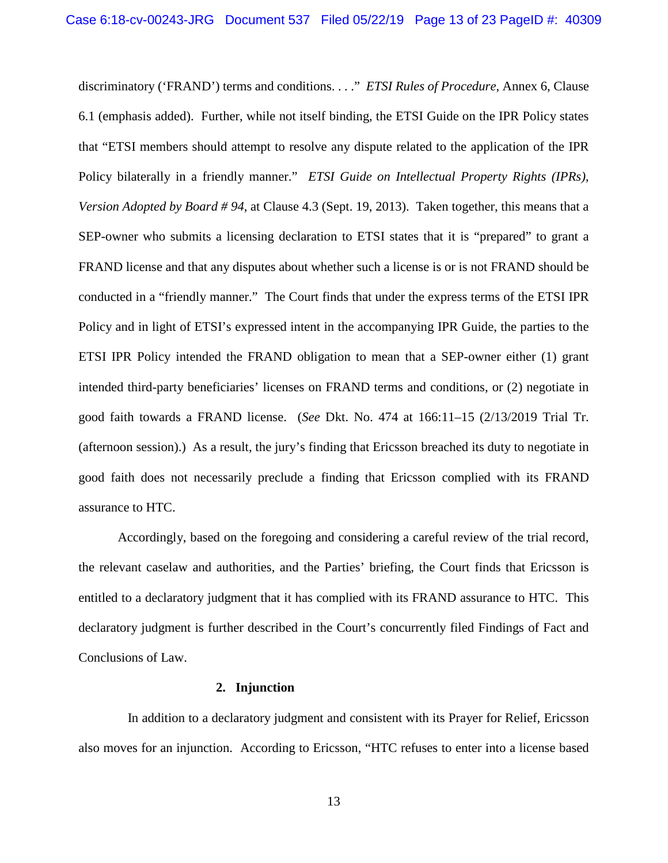discriminatory ('FRAND') terms and conditions. . . ." *ETSI Rules of Procedure*, Annex 6, Clause 6.1 (emphasis added). Further, while not itself binding, the ETSI Guide on the IPR Policy states that "ETSI members should attempt to resolve any dispute related to the application of the IPR Policy bilaterally in a friendly manner." *ETSI Guide on Intellectual Property Rights (IPRs), Version Adopted by Board # 94*, at Clause 4.3 (Sept. 19, 2013). Taken together, this means that a SEP-owner who submits a licensing declaration to ETSI states that it is "prepared" to grant a FRAND license and that any disputes about whether such a license is or is not FRAND should be conducted in a "friendly manner." The Court finds that under the express terms of the ETSI IPR Policy and in light of ETSI's expressed intent in the accompanying IPR Guide, the parties to the ETSI IPR Policy intended the FRAND obligation to mean that a SEP-owner either (1) grant intended third-party beneficiaries' licenses on FRAND terms and conditions, or (2) negotiate in good faith towards a FRAND license. (*See* Dkt. No. 474 at 166:11–15 (2/13/2019 Trial Tr. (afternoon session).) As a result, the jury's finding that Ericsson breached its duty to negotiate in good faith does not necessarily preclude a finding that Ericsson complied with its FRAND assurance to HTC.

Accordingly, based on the foregoing and considering a careful review of the trial record, the relevant caselaw and authorities, and the Parties' briefing, the Court finds that Ericsson is entitled to a declaratory judgment that it has complied with its FRAND assurance to HTC. This declaratory judgment is further described in the Court's concurrently filed Findings of Fact and Conclusions of Law.

#### **2. Injunction**

 In addition to a declaratory judgment and consistent with its Prayer for Relief, Ericsson also moves for an injunction. According to Ericsson, "HTC refuses to enter into a license based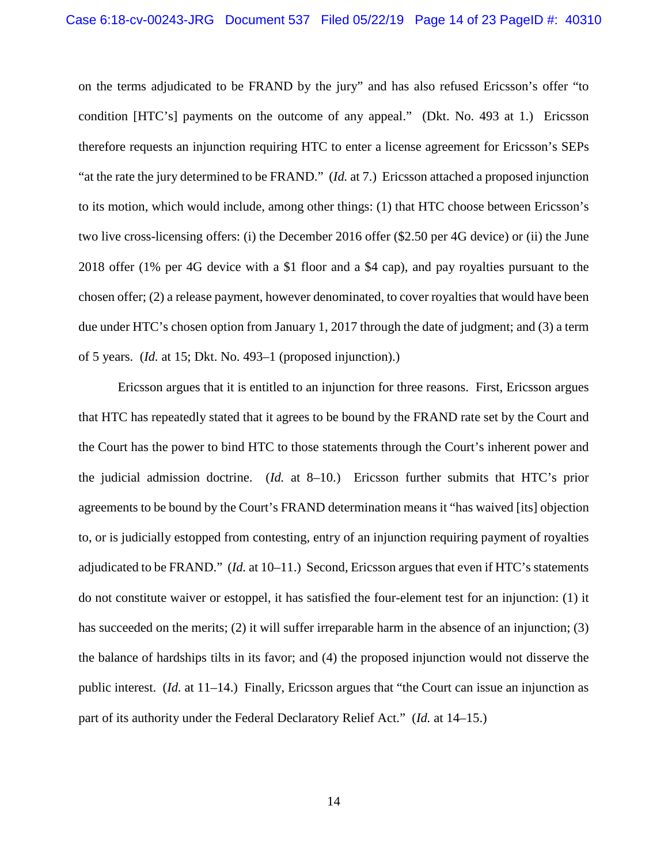on the terms adjudicated to be FRAND by the jury" and has also refused Ericsson's offer "to condition [HTC's] payments on the outcome of any appeal." (Dkt. No. 493 at 1.) Ericsson therefore requests an injunction requiring HTC to enter a license agreement for Ericsson's SEPs "at the rate the jury determined to be FRAND." (*Id.* at 7.) Ericsson attached a proposed injunction to its motion, which would include, among other things: (1) that HTC choose between Ericsson's two live cross-licensing offers: (i) the December 2016 offer (\$2.50 per 4G device) or (ii) the June 2018 offer (1% per 4G device with a \$1 floor and a \$4 cap), and pay royalties pursuant to the chosen offer; (2) a release payment, however denominated, to cover royalties that would have been due under HTC's chosen option from January 1, 2017 through the date of judgment; and (3) a term of 5 years. (*Id.* at 15; Dkt. No. 493–1 (proposed injunction).)

Ericsson argues that it is entitled to an injunction for three reasons. First, Ericsson argues that HTC has repeatedly stated that it agrees to be bound by the FRAND rate set by the Court and the Court has the power to bind HTC to those statements through the Court's inherent power and the judicial admission doctrine. (*Id.* at 8–10.) Ericsson further submits that HTC's prior agreements to be bound by the Court's FRAND determination means it "has waived [its] objection to, or is judicially estopped from contesting, entry of an injunction requiring payment of royalties adjudicated to be FRAND." (*Id.* at 10–11.) Second, Ericsson argues that even if HTC's statements do not constitute waiver or estoppel, it has satisfied the four-element test for an injunction: (1) it has succeeded on the merits; (2) it will suffer irreparable harm in the absence of an injunction; (3) the balance of hardships tilts in its favor; and (4) the proposed injunction would not disserve the public interest. (*Id.* at 11–14.) Finally, Ericsson argues that "the Court can issue an injunction as part of its authority under the Federal Declaratory Relief Act." (*Id.* at 14–15.)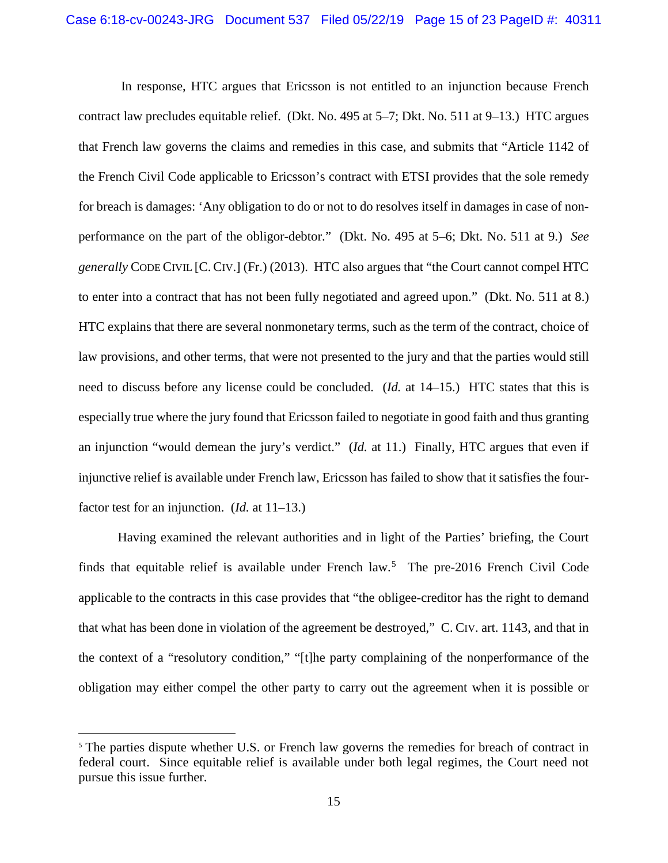In response, HTC argues that Ericsson is not entitled to an injunction because French contract law precludes equitable relief. (Dkt. No. 495 at 5–7; Dkt. No. 511 at 9–13.) HTC argues that French law governs the claims and remedies in this case, and submits that "Article 1142 of the French Civil Code applicable to Ericsson's contract with ETSI provides that the sole remedy for breach is damages: 'Any obligation to do or not to do resolves itself in damages in case of nonperformance on the part of the obligor-debtor." (Dkt. No. 495 at 5–6; Dkt. No. 511 at 9.) *See generally* CODE CIVIL [C. CIV.] (Fr.) (2013). HTC also argues that "the Court cannot compel HTC to enter into a contract that has not been fully negotiated and agreed upon." (Dkt. No. 511 at 8.) HTC explains that there are several nonmonetary terms, such as the term of the contract, choice of law provisions, and other terms, that were not presented to the jury and that the parties would still need to discuss before any license could be concluded. (*Id.* at 14–15.) HTC states that this is especially true where the jury found that Ericsson failed to negotiate in good faith and thus granting an injunction "would demean the jury's verdict." (*Id.* at 11.) Finally, HTC argues that even if injunctive relief is available under French law, Ericsson has failed to show that it satisfies the fourfactor test for an injunction. (*Id.* at 11–13.)

Having examined the relevant authorities and in light of the Parties' briefing, the Court finds that equitable relief is available under French law. 5 The pre-2016 French Civil Code applicable to the contracts in this case provides that "the obligee-creditor has the right to demand that what has been done in violation of the agreement be destroyed," C. CIV. art. 1143, and that in the context of a "resolutory condition," "[t]he party complaining of the nonperformance of the obligation may either compel the other party to carry out the agreement when it is possible or

<sup>&</sup>lt;sup>5</sup> The parties dispute whether U.S. or French law governs the remedies for breach of contract in federal court. Since equitable relief is available under both legal regimes, the Court need not pursue this issue further.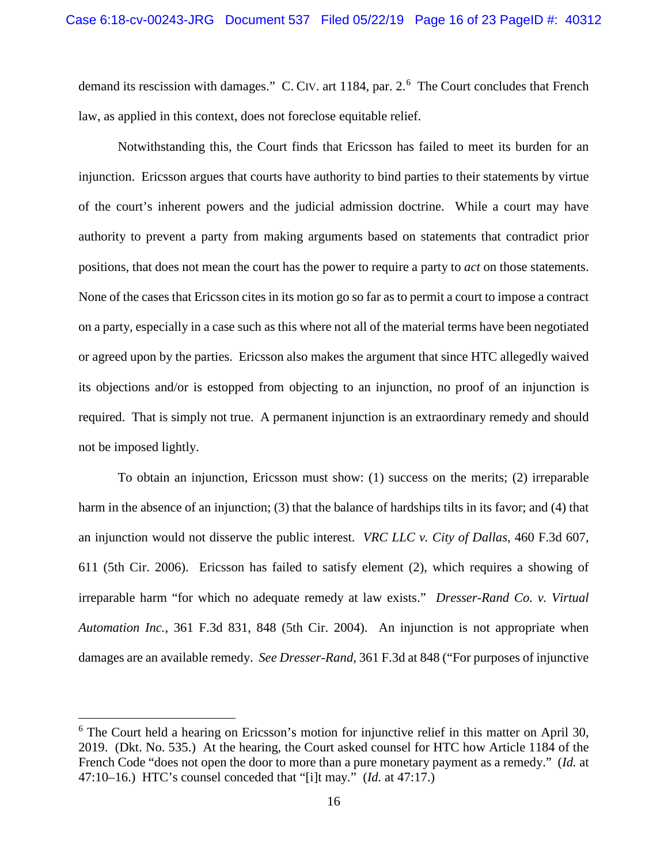demand its rescission with damages." C. CIV. art 1184, par. 2.<sup>6</sup> The Court concludes that French law, as applied in this context, does not foreclose equitable relief.

Notwithstanding this, the Court finds that Ericsson has failed to meet its burden for an injunction. Ericsson argues that courts have authority to bind parties to their statements by virtue of the court's inherent powers and the judicial admission doctrine. While a court may have authority to prevent a party from making arguments based on statements that contradict prior positions, that does not mean the court has the power to require a party to *act* on those statements. None of the cases that Ericsson cites in its motion go so far as to permit a court to impose a contract on a party, especially in a case such as this where not all of the material terms have been negotiated or agreed upon by the parties. Ericsson also makes the argument that since HTC allegedly waived its objections and/or is estopped from objecting to an injunction, no proof of an injunction is required. That is simply not true. A permanent injunction is an extraordinary remedy and should not be imposed lightly.

To obtain an injunction, Ericsson must show: (1) success on the merits; (2) irreparable harm in the absence of an injunction; (3) that the balance of hardships tilts in its favor; and (4) that an injunction would not disserve the public interest. *VRC LLC v. City of Dallas*, 460 F.3d 607, 611 (5th Cir. 2006). Ericsson has failed to satisfy element (2), which requires a showing of irreparable harm "for which no adequate remedy at law exists." *Dresser-Rand Co. v. Virtual Automation Inc.*, 361 F.3d 831, 848 (5th Cir. 2004). An injunction is not appropriate when damages are an available remedy. *See Dresser-Rand*, 361 F.3d at 848 ("For purposes of injunctive

 $6$  The Court held a hearing on Ericsson's motion for injunctive relief in this matter on April 30, 2019. (Dkt. No. 535.) At the hearing, the Court asked counsel for HTC how Article 1184 of the French Code "does not open the door to more than a pure monetary payment as a remedy." (*Id.* at 47:10–16.) HTC's counsel conceded that "[i]t may." (*Id.* at 47:17.)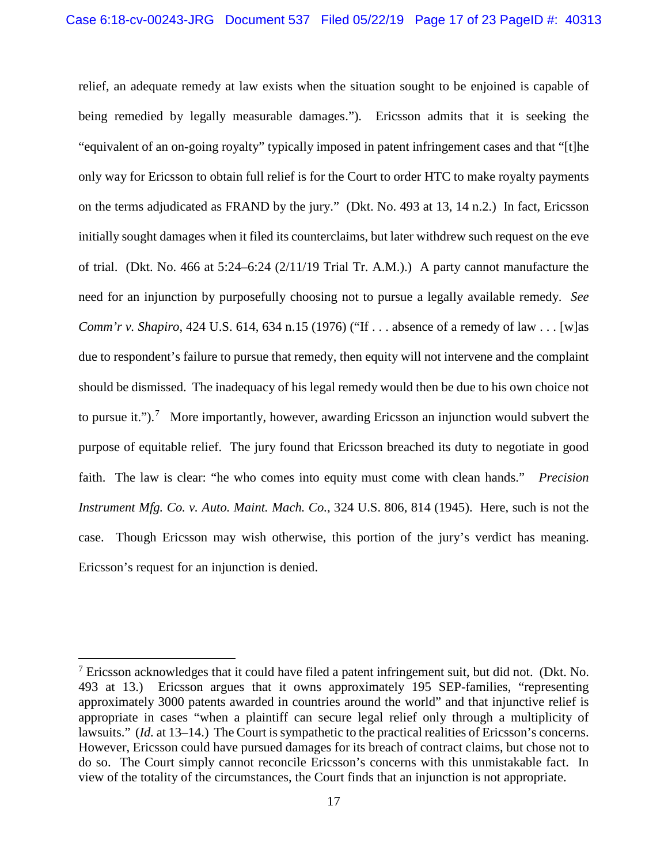relief, an adequate remedy at law exists when the situation sought to be enjoined is capable of being remedied by legally measurable damages."). Ericsson admits that it is seeking the "equivalent of an on-going royalty" typically imposed in patent infringement cases and that "[t]he only way for Ericsson to obtain full relief is for the Court to order HTC to make royalty payments on the terms adjudicated as FRAND by the jury." (Dkt. No. 493 at 13, 14 n.2.) In fact, Ericsson initially sought damages when it filed its counterclaims, but later withdrew such request on the eve of trial. (Dkt. No. 466 at 5:24–6:24 (2/11/19 Trial Tr. A.M.).) A party cannot manufacture the need for an injunction by purposefully choosing not to pursue a legally available remedy. *See Comm'r v. Shapiro*, 424 U.S. 614, 634 n.15 (1976) ("If . . . absence of a remedy of law . . . [w] as due to respondent's failure to pursue that remedy, then equity will not intervene and the complaint should be dismissed. The inadequacy of his legal remedy would then be due to his own choice not to pursue it." $\cdot$ .<sup>7</sup> More importantly, however, awarding Ericsson an injunction would subvert the purpose of equitable relief. The jury found that Ericsson breached its duty to negotiate in good faith. The law is clear: "he who comes into equity must come with clean hands." *Precision Instrument Mfg. Co. v. Auto. Maint. Mach. Co.*, 324 U.S. 806, 814 (1945). Here, such is not the case. Though Ericsson may wish otherwise, this portion of the jury's verdict has meaning. Ericsson's request for an injunction is denied.

<sup>&</sup>lt;sup>7</sup> Ericsson acknowledges that it could have filed a patent infringement suit, but did not. (Dkt. No. 493 at 13.) Ericsson argues that it owns approximately 195 SEP-families, "representing approximately 3000 patents awarded in countries around the world" and that injunctive relief is appropriate in cases "when a plaintiff can secure legal relief only through a multiplicity of lawsuits." (*Id.* at 13–14.) The Court is sympathetic to the practical realities of Ericsson's concerns. However, Ericsson could have pursued damages for its breach of contract claims, but chose not to do so. The Court simply cannot reconcile Ericsson's concerns with this unmistakable fact. In view of the totality of the circumstances, the Court finds that an injunction is not appropriate.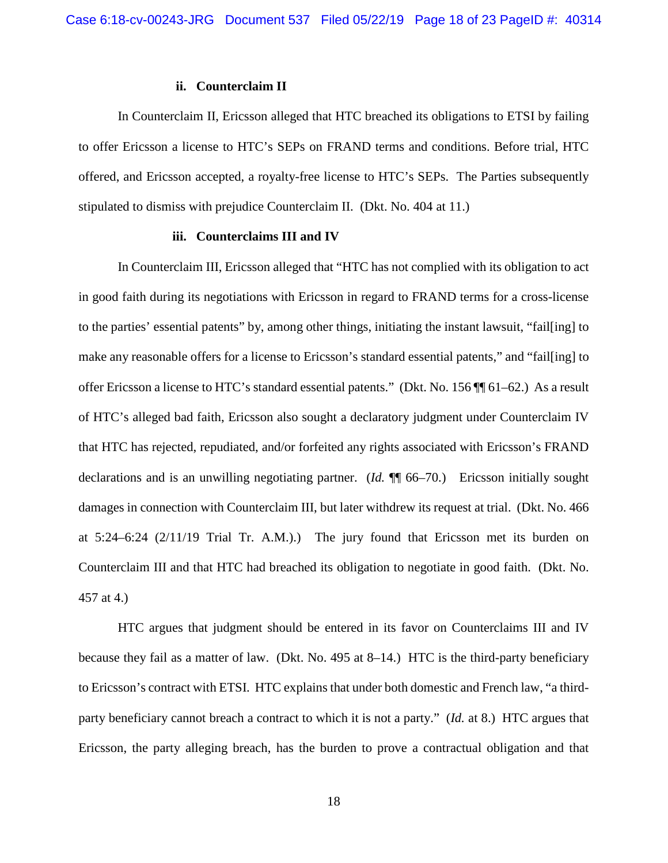### **ii. Counterclaim II**

In Counterclaim II, Ericsson alleged that HTC breached its obligations to ETSI by failing to offer Ericsson a license to HTC's SEPs on FRAND terms and conditions. Before trial, HTC offered, and Ericsson accepted, a royalty-free license to HTC's SEPs. The Parties subsequently stipulated to dismiss with prejudice Counterclaim II. (Dkt. No. 404 at 11.)

### **iii. Counterclaims III and IV**

In Counterclaim III, Ericsson alleged that "HTC has not complied with its obligation to act in good faith during its negotiations with Ericsson in regard to FRAND terms for a cross-license to the parties' essential patents" by, among other things, initiating the instant lawsuit, "fail[ing] to make any reasonable offers for a license to Ericsson's standard essential patents," and "fail[ing] to offer Ericsson a license to HTC's standard essential patents." (Dkt. No. 156 ¶¶ 61–62.) As a result of HTC's alleged bad faith, Ericsson also sought a declaratory judgment under Counterclaim IV that HTC has rejected, repudiated, and/or forfeited any rights associated with Ericsson's FRAND declarations and is an unwilling negotiating partner. (*Id.* ¶¶ 66–70.) Ericsson initially sought damages in connection with Counterclaim III, but later withdrew its request at trial. (Dkt. No. 466 at 5:24–6:24 (2/11/19 Trial Tr. A.M.).) The jury found that Ericsson met its burden on Counterclaim III and that HTC had breached its obligation to negotiate in good faith. (Dkt. No. 457 at 4.)

HTC argues that judgment should be entered in its favor on Counterclaims III and IV because they fail as a matter of law. (Dkt. No. 495 at 8–14.) HTC is the third-party beneficiary to Ericsson's contract with ETSI. HTC explains that under both domestic and French law, "a thirdparty beneficiary cannot breach a contract to which it is not a party." (*Id.* at 8.) HTC argues that Ericsson, the party alleging breach, has the burden to prove a contractual obligation and that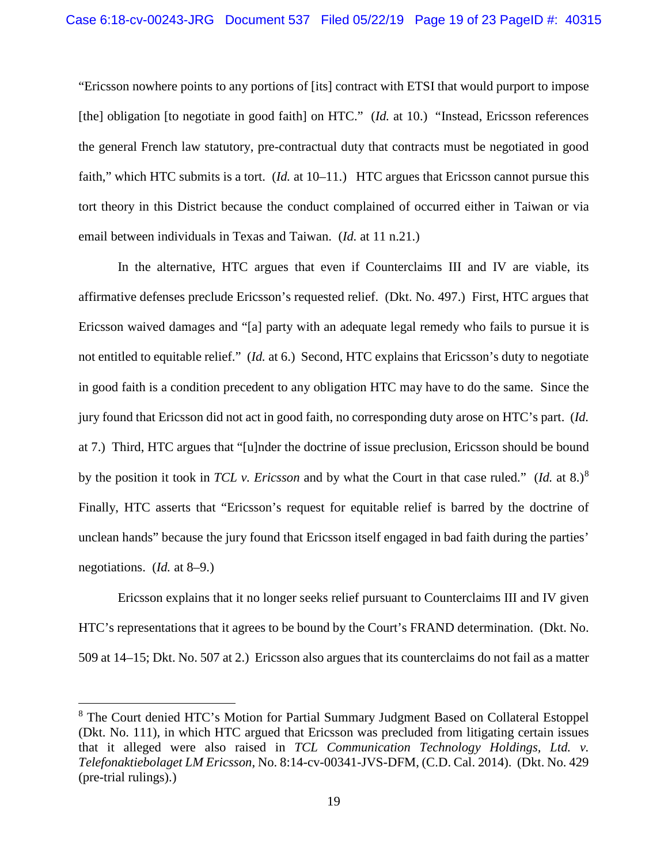"Ericsson nowhere points to any portions of [its] contract with ETSI that would purport to impose [the] obligation [to negotiate in good faith] on HTC." (*Id.* at 10.) "Instead, Ericsson references the general French law statutory, pre-contractual duty that contracts must be negotiated in good faith," which HTC submits is a tort. (*Id.* at 10–11.) HTC argues that Ericsson cannot pursue this tort theory in this District because the conduct complained of occurred either in Taiwan or via email between individuals in Texas and Taiwan. (*Id.* at 11 n.21.)

In the alternative, HTC argues that even if Counterclaims III and IV are viable, its affirmative defenses preclude Ericsson's requested relief. (Dkt. No. 497.) First, HTC argues that Ericsson waived damages and "[a] party with an adequate legal remedy who fails to pursue it is not entitled to equitable relief." (*Id.* at 6.) Second, HTC explains that Ericsson's duty to negotiate in good faith is a condition precedent to any obligation HTC may have to do the same. Since the jury found that Ericsson did not act in good faith, no corresponding duty arose on HTC's part. (*Id.* at 7.) Third, HTC argues that "[u]nder the doctrine of issue preclusion, Ericsson should be bound by the position it took in *TCL v. Ericsson* and by what the Court in that case ruled." (*Id.* at 8.)<sup>8</sup> Finally, HTC asserts that "Ericsson's request for equitable relief is barred by the doctrine of unclean hands" because the jury found that Ericsson itself engaged in bad faith during the parties' negotiations. (*Id.* at 8–9.)

Ericsson explains that it no longer seeks relief pursuant to Counterclaims III and IV given HTC's representations that it agrees to be bound by the Court's FRAND determination. (Dkt. No. 509 at 14–15; Dkt. No. 507 at 2.) Ericsson also argues that its counterclaims do not fail as a matter

 <sup>8</sup> The Court denied HTC's Motion for Partial Summary Judgment Based on Collateral Estoppel (Dkt. No. 111), in which HTC argued that Ericsson was precluded from litigating certain issues that it alleged were also raised in *TCL Communication Technology Holdings, Ltd. v. Telefonaktiebolaget LM Ericsson*, No. 8:14-cv-00341-JVS-DFM, (C.D. Cal. 2014). (Dkt. No. 429 (pre-trial rulings).)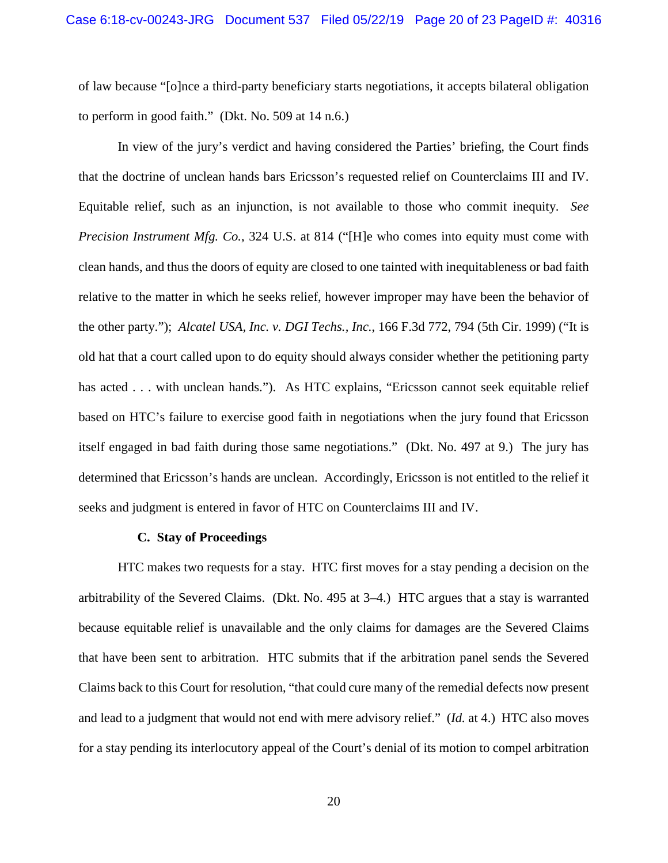of law because "[o]nce a third-party beneficiary starts negotiations, it accepts bilateral obligation to perform in good faith." (Dkt. No. 509 at 14 n.6.)

In view of the jury's verdict and having considered the Parties' briefing, the Court finds that the doctrine of unclean hands bars Ericsson's requested relief on Counterclaims III and IV. Equitable relief, such as an injunction, is not available to those who commit inequity. *See Precision Instrument Mfg. Co.*, 324 U.S. at 814 ("[H]e who comes into equity must come with clean hands, and thus the doors of equity are closed to one tainted with inequitableness or bad faith relative to the matter in which he seeks relief, however improper may have been the behavior of the other party."); *Alcatel USA, Inc. v. DGI Techs., Inc.*, 166 F.3d 772, 794 (5th Cir. 1999) ("It is old hat that a court called upon to do equity should always consider whether the petitioning party has acted . . . with unclean hands."). As HTC explains, "Ericsson cannot seek equitable relief based on HTC's failure to exercise good faith in negotiations when the jury found that Ericsson itself engaged in bad faith during those same negotiations." (Dkt. No. 497 at 9.) The jury has determined that Ericsson's hands are unclean. Accordingly, Ericsson is not entitled to the relief it seeks and judgment is entered in favor of HTC on Counterclaims III and IV.

## **C. Stay of Proceedings**

HTC makes two requests for a stay. HTC first moves for a stay pending a decision on the arbitrability of the Severed Claims. (Dkt. No. 495 at 3–4.) HTC argues that a stay is warranted because equitable relief is unavailable and the only claims for damages are the Severed Claims that have been sent to arbitration. HTC submits that if the arbitration panel sends the Severed Claims back to this Court for resolution, "that could cure many of the remedial defects now present and lead to a judgment that would not end with mere advisory relief." (*Id.* at 4.) HTC also moves for a stay pending its interlocutory appeal of the Court's denial of its motion to compel arbitration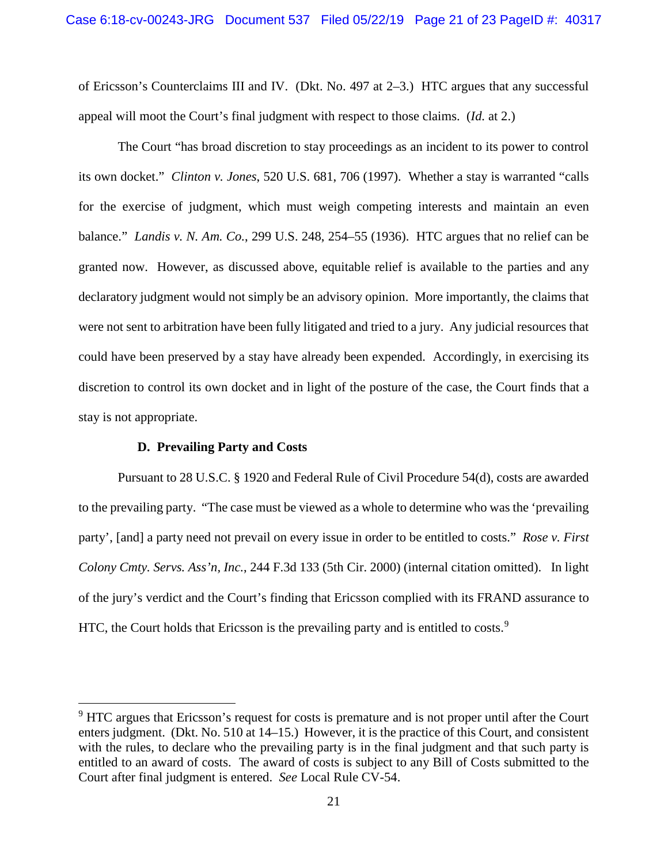of Ericsson's Counterclaims III and IV. (Dkt. No. 497 at 2–3.) HTC argues that any successful appeal will moot the Court's final judgment with respect to those claims. (*Id.* at 2.)

The Court "has broad discretion to stay proceedings as an incident to its power to control its own docket." *Clinton v. Jones*, 520 U.S. 681, 706 (1997). Whether a stay is warranted "calls for the exercise of judgment, which must weigh competing interests and maintain an even balance." *Landis v. N. Am. Co.*, 299 U.S. 248, 254–55 (1936). HTC argues that no relief can be granted now. However, as discussed above, equitable relief is available to the parties and any declaratory judgment would not simply be an advisory opinion. More importantly, the claims that were not sent to arbitration have been fully litigated and tried to a jury. Any judicial resources that could have been preserved by a stay have already been expended. Accordingly, in exercising its discretion to control its own docket and in light of the posture of the case, the Court finds that a stay is not appropriate.

#### **D. Prevailing Party and Costs**

Pursuant to 28 U.S.C. § 1920 and Federal Rule of Civil Procedure 54(d), costs are awarded to the prevailing party. "The case must be viewed as a whole to determine who was the 'prevailing party', [and] a party need not prevail on every issue in order to be entitled to costs." *Rose v. First Colony Cmty. Servs. Ass'n, Inc.*, 244 F.3d 133 (5th Cir. 2000) (internal citation omitted). In light of the jury's verdict and the Court's finding that Ericsson complied with its FRAND assurance to HTC, the Court holds that Ericsson is the prevailing party and is entitled to costs.<sup>9</sup>

<sup>&</sup>lt;sup>9</sup> HTC argues that Ericsson's request for costs is premature and is not proper until after the Court enters judgment. (Dkt. No. 510 at 14–15.) However, it is the practice of this Court, and consistent with the rules, to declare who the prevailing party is in the final judgment and that such party is entitled to an award of costs. The award of costs is subject to any Bill of Costs submitted to the Court after final judgment is entered. *See* Local Rule CV-54.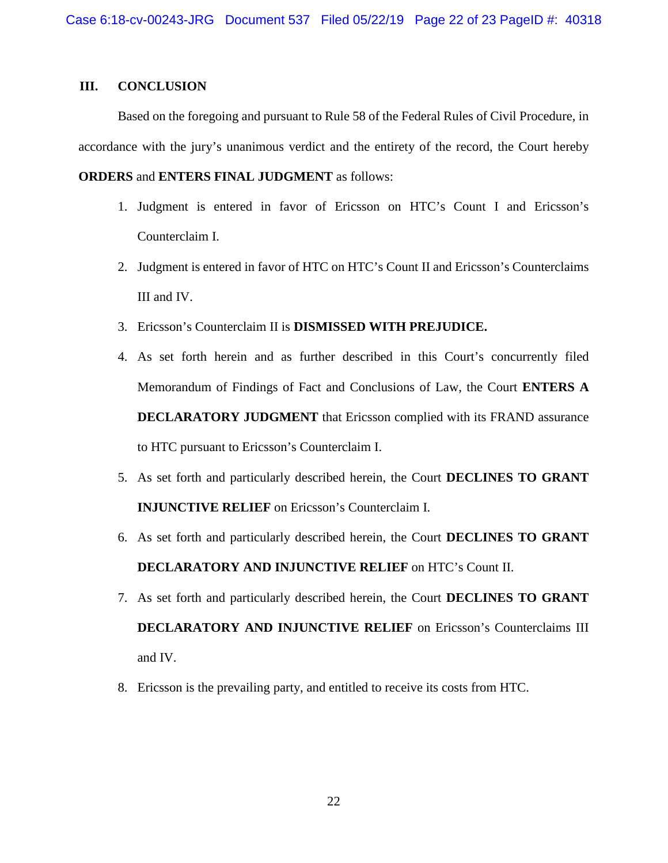# **III. CONCLUSION**

Based on the foregoing and pursuant to Rule 58 of the Federal Rules of Civil Procedure, in accordance with the jury's unanimous verdict and the entirety of the record, the Court hereby

## **ORDERS** and **ENTERS FINAL JUDGMENT** as follows:

- 1. Judgment is entered in favor of Ericsson on HTC's Count I and Ericsson's Counterclaim I.
- 2. Judgment is entered in favor of HTC on HTC's Count II and Ericsson's Counterclaims III and IV.
- 3. Ericsson's Counterclaim II is **DISMISSED WITH PREJUDICE.**
- 4. As set forth herein and as further described in this Court's concurrently filed Memorandum of Findings of Fact and Conclusions of Law, the Court **ENTERS A DECLARATORY JUDGMENT** that Ericsson complied with its FRAND assurance to HTC pursuant to Ericsson's Counterclaim I.
- 5. As set forth and particularly described herein, the Court **DECLINES TO GRANT INJUNCTIVE RELIEF** on Ericsson's Counterclaim I.
- 6. As set forth and particularly described herein, the Court **DECLINES TO GRANT DECLARATORY AND INJUNCTIVE RELIEF** on HTC's Count II.
- 7. As set forth and particularly described herein, the Court **DECLINES TO GRANT DECLARATORY AND INJUNCTIVE RELIEF** on Ericsson's Counterclaims III and IV.
- 8. Ericsson is the prevailing party, and entitled to receive its costs from HTC.